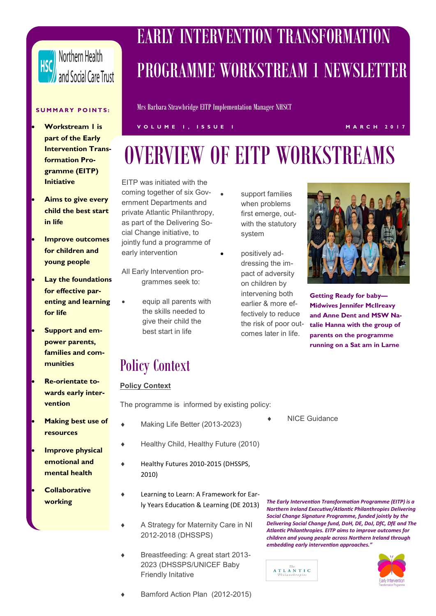# HSC Northern Health and Social Care Trust

## **S U M M A R Y P O I N T S :**

- **Workstream 1 is part of the Early Intervention Transformation Programme (EITP) Initiative**
- **Aims to give every child the best start in life**
- **Improve outcomes for children and young people**
- **Lay the foundations for effective parenting and learning for life**
- **Support and empower parents, families and communities**
- **Re-orientate towards early intervention**
- **Making best use of resources**
- **Improve physical emotional and mental health**
- **Collaborative working**

# EARLY INTERVENTION TRANSFORMATION PROGRAMME WORKSTREAM 1 NEWSLETTER

Mrs Barbara Strawbridge EITP Implementation Manager NHSCT

### **V O L U M E 1 , I S S U E 1 M A R C H 2 0 1 7**

# OVERVIEW OF EITP WORKSTREAMS

EITP was initiated with the coming together of six Government Departments and private Atlantic Philanthropy, as part of the Delivering Social Change initiative, to jointly fund a programme of early intervention

- All Early Intervention programmes seek to:
	- equip all parents with the skills needed to give their child the best start in life
- support families when problems first emerge, outwith the statutory system
	- positively addressing the impact of adversity on children by intervening both earlier & more effectively to reduce the risk of poor outcomes later in life.



**Getting Ready for baby-Midwives Jennifer McIlreavy and Anne Dent and MSW Natalie Hanna with the group of parents on the programme running on a Sat am in Larne**

# Policy Context

## **Policy Context**

The programme is informed by existing policy:

- Making Life Better (2013-2023)
- Healthy Child, Healthy Future (2010)
- Healthy Futures 2010-2015 (DHSSPS, 2010)
- Learning to Learn: A Framework for Early Years Education & Learning (DE 2013)
- A Strategy for Maternity Care in NI 2012-2018 (DHSSPS)
- Breastfeeding: A great start 2013- 2023 (DHSSPS/UNICEF Baby Friendly Initative
- Bamford Action Plan (2012-2015)

NICE Guidance

*The Early Intervention Transformation Programme (EITP) is a Northern Ireland Executive/Atlantic Philanthropies Delivering Social Change Signature Programme, funded jointly by the Delivering Social Change fund, DoH, DE, DoJ, DfC, DfE and The Atlantic Philanthropies. EITP aims to improve outcomes for children and young people across Northern Ireland through embedding early intervention approaches."*